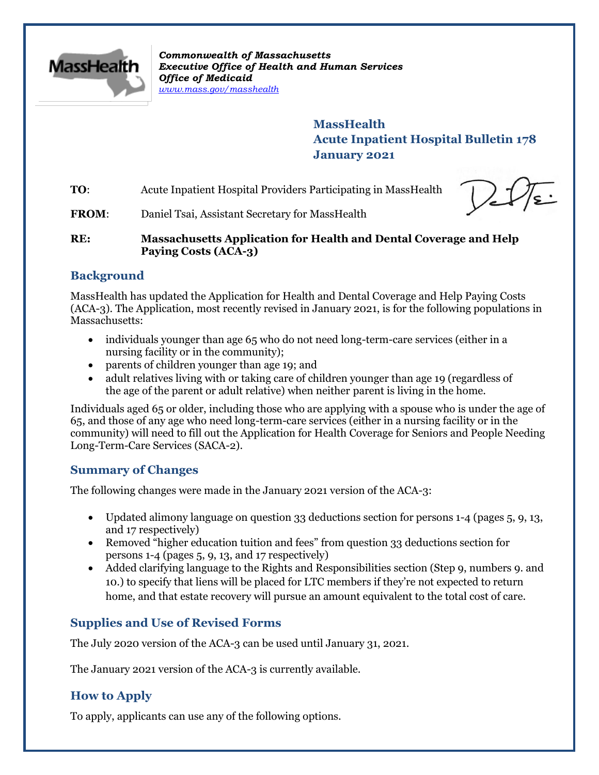

*Commonwealth of Massachusetts Executive Office of Health and Human Services Office of Medicaid [www.mass.gov/masshealth](http://www.mass.gov/masshealth)*

> **MassHealth Acute Inpatient Hospital Bulletin 178 January 2021**

**TO:** Acute Inpatient Hospital Providers Participating in MassHealth

FROM: Daniel Tsai, Assistant Secretary for MassHealth

**RE: Massachusetts Application for Health and Dental Coverage and Help Paying Costs (ACA-3)**

## **Background**

MassHealth has updated the Application for Health and Dental Coverage and Help Paying Costs (ACA-3). The Application, most recently revised in January 2021, is for the following populations in Massachusetts:

- individuals younger than age 65 who do not need long-term-care services (either in a nursing facility or in the community);
- parents of children younger than age 19; and
- adult relatives living with or taking care of children younger than age 19 (regardless of the age of the parent or adult relative) when neither parent is living in the home.

Individuals aged 65 or older, including those who are applying with a spouse who is under the age of 65, and those of any age who need long-term-care services (either in a nursing facility or in the community) will need to fill out the Application for Health Coverage for Seniors and People Needing Long-Term-Care Services (SACA-2).

## **Summary of Changes**

The following changes were made in the January 2021 version of the ACA-3:

- Updated alimony language on question 33 deductions section for persons 1-4 (pages 5, 9, 13, and 17 respectively)
- Removed "higher education tuition and fees" from question 33 deductions section for persons 1-4 (pages 5, 9, 13, and 17 respectively)
- Added clarifying language to the Rights and Responsibilities section (Step 9, numbers 9. and 10.) to specify that liens will be placed for LTC members if they're not expected to return home, and that estate recovery will pursue an amount equivalent to the total cost of care.

# **Supplies and Use of Revised Forms**

The July 2020 version of the ACA-3 can be used until January 31, 2021.

The January 2021 version of the ACA-3 is currently available.

# **How to Apply**

To apply, applicants can use any of the following options.